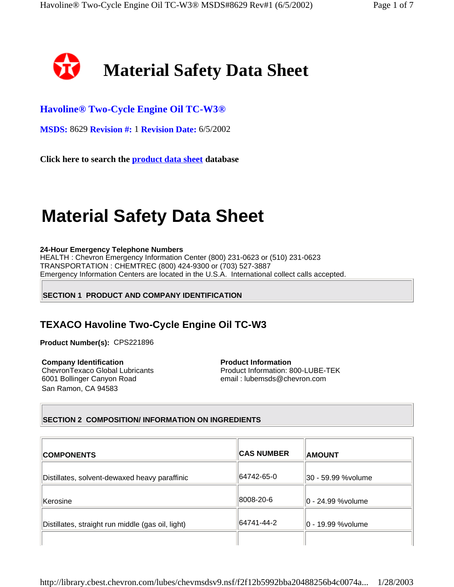

# **Havoline® Two-Cycle Engine Oil TC-W3®**

**MSDS:** 8629 **Revision #:** 1 **Revision Date:** 6/5/2002

**Click here to search the product data sheet database**

# **Material Safety Data Sheet**

#### **24-Hour Emergency Telephone Numbers**

HEALTH : Chevron Emergency Information Center (800) 231-0623 or (510) 231-0623 TRANSPORTATION : CHEMTREC (800) 424-9300 or (703) 527-3887 Emergency Information Centers are located in the U.S.A. International collect calls accepted.

# **SECTION 1 PRODUCT AND COMPANY IDENTIFICATION**

# **TEXACO Havoline Two-Cycle Engine Oil TC-W3**

**Product Number(s):** CPS221896

**Company Identification**  ChevronTexaco Global Lubricants 6001 Bollinger Canyon Road San Ramon, CA 94583

**Product Information**  Product Information: 800-LUBE-TEK email : lubemsds@chevron.com

# **SECTION 2 COMPOSITION/ INFORMATION ON INGREDIENTS**

| <b>COMPONENTS</b>                                 | <b>CAS NUMBER</b> | <b>AMOUNT</b>         |
|---------------------------------------------------|-------------------|-----------------------|
| Distillates, solvent-dewaxed heavy paraffinic     | 64742-65-0        | 30 - 59.99 % volume   |
| Kerosine                                          | 8008-20-6         | ∣l0 - 24.99 %volume   |
| Distillates, straight run middle (gas oil, light) | 64741-44-2        | $ 0 - 19.99$ % volume |
|                                                   |                   |                       |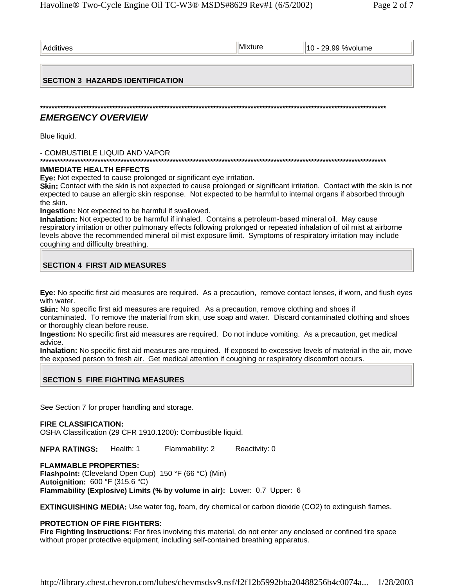| Additives                               | Mixture | 10 - 29.99 % volume |
|-----------------------------------------|---------|---------------------|
|                                         |         |                     |
| <b>SECTION 3 HAZARDS IDENTIFICATION</b> |         |                     |
|                                         |         |                     |
| <b>EMERGENCY OVERVIEW</b>               |         |                     |
| Blue liquid.                            |         |                     |
| - COMBUSTIBLE LIQUID AND VAPOR          |         |                     |

# **IMMEDIATE HEALTH EFFECTS**

**Eye:** Not expected to cause prolonged or significant eye irritation.

**Skin:** Contact with the skin is not expected to cause prolonged or significant irritation. Contact with the skin is not expected to cause an allergic skin response. Not expected to be harmful to internal organs if absorbed through the skin.

**Ingestion:** Not expected to be harmful if swallowed.

**Inhalation:** Not expected to be harmful if inhaled. Contains a petroleum-based mineral oil. May cause respiratory irritation or other pulmonary effects following prolonged or repeated inhalation of oil mist at airborne levels above the recommended mineral oil mist exposure limit. Symptoms of respiratory irritation may include coughing and difficulty breathing.

# **SECTION 4 FIRST AID MEASURES**

**Eye:** No specific first aid measures are required. As a precaution, remove contact lenses, if worn, and flush eyes with water.

**Skin:** No specific first aid measures are required. As a precaution, remove clothing and shoes if

contaminated. To remove the material from skin, use soap and water. Discard contaminated clothing and shoes or thoroughly clean before reuse.

**Ingestion:** No specific first aid measures are required. Do not induce vomiting. As a precaution, get medical advice.

**Inhalation:** No specific first aid measures are required. If exposed to excessive levels of material in the air, move the exposed person to fresh air. Get medical attention if coughing or respiratory discomfort occurs.

# **SECTION 5 FIRE FIGHTING MEASURES**

See Section 7 for proper handling and storage.

# **FIRE CLASSIFICATION:**

OSHA Classification (29 CFR 1910.1200): Combustible liquid.

**NFPA RATINGS:** Health: 1 Flammability: 2 Reactivity: 0

**FLAMMABLE PROPERTIES: Flashpoint:** (Cleveland Open Cup) 150 °F (66 °C) (Min) **Autoignition:** 600 °F (315.6 °C) **Flammability (Explosive) Limits (% by volume in air):** Lower: 0.7 Upper: 6

**EXTINGUISHING MEDIA:** Use water fog, foam, dry chemical or carbon dioxide (CO2) to extinguish flames.

# **PROTECTION OF FIRE FIGHTERS:**

**Fire Fighting Instructions:** For fires involving this material, do not enter any enclosed or confined fire space without proper protective equipment, including self-contained breathing apparatus.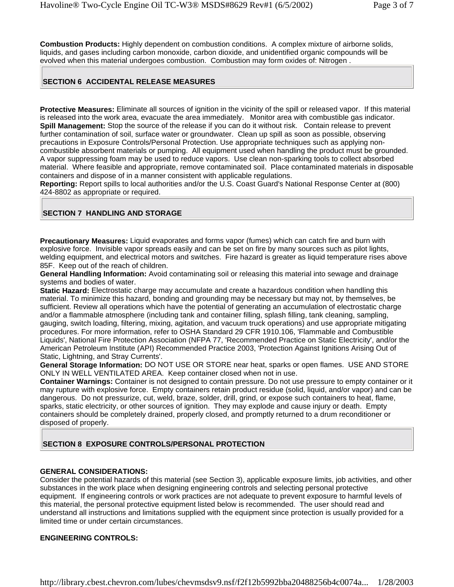**Combustion Products:** Highly dependent on combustion conditions. A complex mixture of airborne solids, liquids, and gases including carbon monoxide, carbon dioxide, and unidentified organic compounds will be evolved when this material undergoes combustion. Combustion may form oxides of: Nitrogen .

## **SECTION 6 ACCIDENTAL RELEASE MEASURES**

**Protective Measures:** Eliminate all sources of ignition in the vicinity of the spill or released vapor. If this material is released into the work area, evacuate the area immediately. Monitor area with combustible gas indicator. **Spill Management:** Stop the source of the release if you can do it without risk. Contain release to prevent further contamination of soil, surface water or groundwater. Clean up spill as soon as possible, observing precautions in Exposure Controls/Personal Protection. Use appropriate techniques such as applying noncombustible absorbent materials or pumping. All equipment used when handling the product must be grounded. A vapor suppressing foam may be used to reduce vapors. Use clean non-sparking tools to collect absorbed material. Where feasible and appropriate, remove contaminated soil. Place contaminated materials in disposable containers and dispose of in a manner consistent with applicable regulations.

**Reporting:** Report spills to local authorities and/or the U.S. Coast Guard's National Response Center at (800) 424-8802 as appropriate or required.

#### **SECTION 7 HANDLING AND STORAGE**

**Precautionary Measures:** Liquid evaporates and forms vapor (fumes) which can catch fire and burn with explosive force. Invisible vapor spreads easily and can be set on fire by many sources such as pilot lights, welding equipment, and electrical motors and switches. Fire hazard is greater as liquid temperature rises above 85F. Keep out of the reach of children.

**General Handling Information:** Avoid contaminating soil or releasing this material into sewage and drainage systems and bodies of water.

**Static Hazard:** Electrostatic charge may accumulate and create a hazardous condition when handling this material. To minimize this hazard, bonding and grounding may be necessary but may not, by themselves, be sufficient. Review all operations which have the potential of generating an accumulation of electrostatic charge and/or a flammable atmosphere (including tank and container filling, splash filling, tank cleaning, sampling, gauging, switch loading, filtering, mixing, agitation, and vacuum truck operations) and use appropriate mitigating procedures. For more information, refer to OSHA Standard 29 CFR 1910.106, 'Flammable and Combustible Liquids', National Fire Protection Association (NFPA 77, 'Recommended Practice on Static Electricity', and/or the American Petroleum Institute (API) Recommended Practice 2003, 'Protection Against Ignitions Arising Out of Static, Lightning, and Stray Currents'.

**General Storage Information:** DO NOT USE OR STORE near heat, sparks or open flames. USE AND STORE ONLY IN WELL VENTILATED AREA. Keep container closed when not in use.

**Container Warnings:** Container is not designed to contain pressure. Do not use pressure to empty container or it may rupture with explosive force. Empty containers retain product residue (solid, liquid, and/or vapor) and can be dangerous. Do not pressurize, cut, weld, braze, solder, drill, grind, or expose such containers to heat, flame, sparks, static electricity, or other sources of ignition. They may explode and cause injury or death. Empty containers should be completely drained, properly closed, and promptly returned to a drum reconditioner or disposed of properly.

## **SECTION 8 EXPOSURE CONTROLS/PERSONAL PROTECTION**

#### **GENERAL CONSIDERATIONS:**

Consider the potential hazards of this material (see Section 3), applicable exposure limits, job activities, and other substances in the work place when designing engineering controls and selecting personal protective equipment. If engineering controls or work practices are not adequate to prevent exposure to harmful levels of this material, the personal protective equipment listed below is recommended. The user should read and understand all instructions and limitations supplied with the equipment since protection is usually provided for a limited time or under certain circumstances.

#### **ENGINEERING CONTROLS:**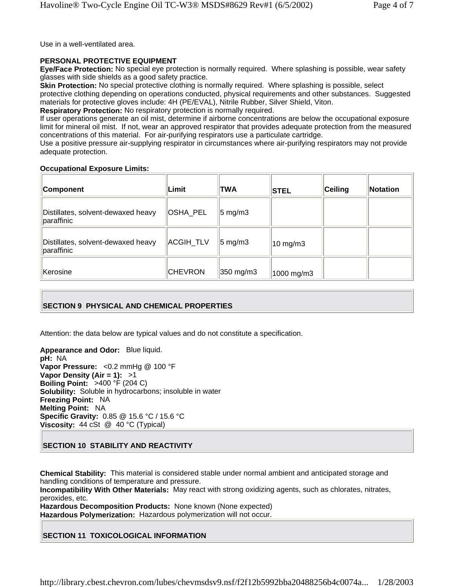Use in a well-ventilated area.

#### **PERSONAL PROTECTIVE EQUIPMENT**

**Eye/Face Protection:** No special eye protection is normally required. Where splashing is possible, wear safety glasses with side shields as a good safety practice.

**Skin Protection:** No special protective clothing is normally required. Where splashing is possible, select protective clothing depending on operations conducted, physical requirements and other substances. Suggested materials for protective gloves include: 4H (PE/EVAL), Nitrile Rubber, Silver Shield, Viton.

**Respiratory Protection:** No respiratory protection is normally required.

If user operations generate an oil mist, determine if airborne concentrations are below the occupational exposure limit for mineral oil mist. If not, wear an approved respirator that provides adequate protection from the measured concentrations of this material. For air-purifying respirators use a particulate cartridge.

Use a positive pressure air-supplying respirator in circumstances where air-purifying respirators may not provide adequate protection.

#### **Occupational Exposure Limits:**

| Component                                        | ∣Limit         | TWA                 | <b>STEL</b>         | Ceiling | Notation |
|--------------------------------------------------|----------------|---------------------|---------------------|---------|----------|
| Distillates, solvent-dewaxed heavy<br>paraffinic | OSHA PEL       | $ 5 \text{ mg/m}$ 3 |                     |         |          |
| Distillates, solvent-dewaxed heavy<br>paraffinic | ACGIH_TLV      | $ 5 \text{ mg/m}$ 3 | $10 \text{ mg/m}$ 3 |         |          |
| Kerosine                                         | <b>CHEVRON</b> | 350 mg/m3           | 1000 mg/m3          |         |          |

## **SECTION 9 PHYSICAL AND CHEMICAL PROPERTIES**

Attention: the data below are typical values and do not constitute a specification.

**Appearance and Odor:** Blue liquid. **pH:** NA **Vapor Pressure:** <0.2 mmHg @ 100 °F **Vapor Density (Air = 1):** >1 **Boiling Point:** >400 °F (204 C) **Solubility:** Soluble in hydrocarbons; insoluble in water **Freezing Point:** NA **Melting Point:** NA **Specific Gravity:** 0.85 @ 15.6 °C / 15.6 °C **Viscosity:** 44 cSt @ 40 °C (Typical)

**SECTION 10 STABILITY AND REACTIVITY** 

**Chemical Stability:** This material is considered stable under normal ambient and anticipated storage and handling conditions of temperature and pressure.

**Incompatibility With Other Materials:** May react with strong oxidizing agents, such as chlorates, nitrates, peroxides, etc.

**Hazardous Decomposition Products:** None known (None expected) **Hazardous Polymerization:** Hazardous polymerization will not occur.

## **SECTION 11 TOXICOLOGICAL INFORMATION**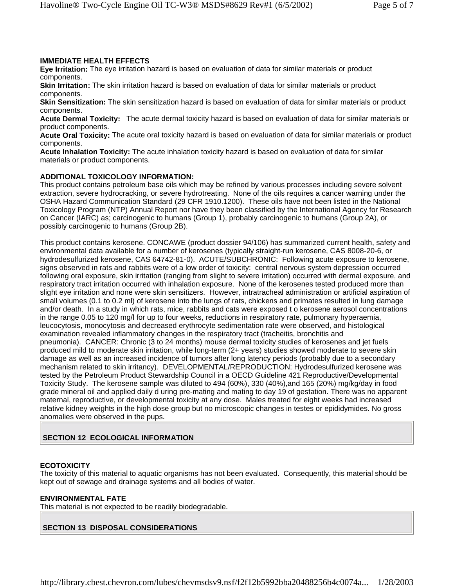#### **IMMEDIATE HEALTH EFFECTS**

**Eye Irritation:** The eye irritation hazard is based on evaluation of data for similar materials or product components.

**Skin Irritation:** The skin irritation hazard is based on evaluation of data for similar materials or product components.

**Skin Sensitization:** The skin sensitization hazard is based on evaluation of data for similar materials or product components.

**Acute Dermal Toxicity:** The acute dermal toxicity hazard is based on evaluation of data for similar materials or product components.

**Acute Oral Toxicity:** The acute oral toxicity hazard is based on evaluation of data for similar materials or product components.

**Acute Inhalation Toxicity:** The acute inhalation toxicity hazard is based on evaluation of data for similar materials or product components.

#### **ADDITIONAL TOXICOLOGY INFORMATION:**

This product contains petroleum base oils which may be refined by various processes including severe solvent extraction, severe hydrocracking, or severe hydrotreating. None of the oils requires a cancer warning under the OSHA Hazard Communication Standard (29 CFR 1910.1200). These oils have not been listed in the National Toxicology Program (NTP) Annual Report nor have they been classified by the International Agency for Research on Cancer (IARC) as; carcinogenic to humans (Group 1), probably carcinogenic to humans (Group 2A), or possibly carcinogenic to humans (Group 2B).

This product contains kerosene. CONCAWE (product dossier 94/106) has summarized current health, safety and environmental data available for a number of kerosenes (typically straight-run kerosene, CAS 8008-20-6, or hydrodesulfurized kerosene, CAS 64742-81-0). ACUTE/SUBCHRONIC: Following acute exposure to kerosene, signs observed in rats and rabbits were of a low order of toxicity: central nervous system depression occurred following oral exposure, skin irritation (ranging from slight to severe irritation) occurred with dermal exposure, and respiratory tract irritation occurred with inhalation exposure. None of the kerosenes tested produced more than slight eye irritation and none were skin sensitizers. However, intratracheal administration or artificial aspiration of small volumes (0.1 to 0.2 ml) of kerosene into the lungs of rats, chickens and primates resulted in lung damage and/or death. In a study in which rats, mice, rabbits and cats were exposed t o kerosene aerosol concentrations in the range 0.05 to 120 mg/l for up to four weeks, reductions in respiratory rate, pulmonary hyperaemia, leucocytosis, monocytosis and decreased erythrocyte sedimentation rate were observed, and histological examination revealed inflammatory changes in the respiratory tract (tracheitis, bronchitis and pneumonia). CANCER: Chronic (3 to 24 months) mouse dermal toxicity studies of kerosenes and jet fuels produced mild to moderate skin irritation, while long-term (2+ years) studies showed moderate to severe skin damage as well as an increased incidence of tumors after long latency periods (probably due to a secondary mechanism related to skin irritancy). DEVELOPMENTAL/REPRODUCTION: Hydrodesulfurized kerosene was tested by the Petroleum Product Stewardship Council in a OECD Guideline 421 Reproductive/Developmental Toxicity Study. The kerosene sample was diluted to 494 (60%), 330 (40%),and 165 (20%) mg/kg/day in food grade mineral oil and applied daily d uring pre-mating and mating to day 19 of gestation. There was no apparent maternal, reproductive, or developmental toxicity at any dose. Males treated for eight weeks had increased relative kidney weights in the high dose group but no microscopic changes in testes or epididymides. No gross anomalies were observed in the pups.

## **SECTION 12 ECOLOGICAL INFORMATION**

#### **ECOTOXICITY**

The toxicity of this material to aquatic organisms has not been evaluated. Consequently, this material should be kept out of sewage and drainage systems and all bodies of water.

#### **ENVIRONMENTAL FATE**

This material is not expected to be readily biodegradable.

#### **SECTION 13 DISPOSAL CONSIDERATIONS**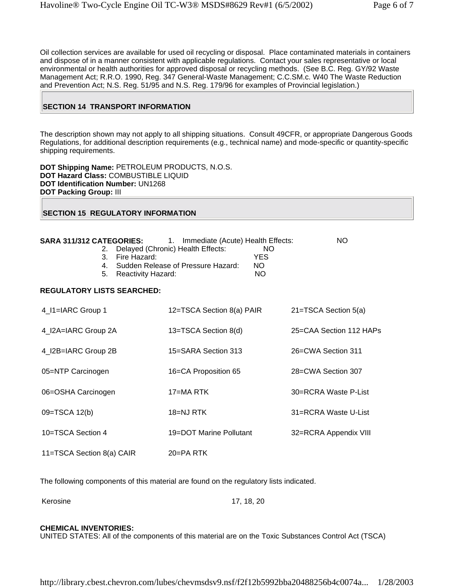Oil collection services are available for used oil recycling or disposal. Place contaminated materials in containers and dispose of in a manner consistent with applicable regulations. Contact your sales representative or local environmental or health authorities for approved disposal or recycling methods. (See B.C. Reg. GY/92 Waste Management Act; R.R.O. 1990, Reg. 347 General-Waste Management; C.C.SM.c. W40 The Waste Reduction and Prevention Act; N.S. Reg. 51/95 and N.S. Reg. 179/96 for examples of Provincial legislation.)

# **SECTION 14 TRANSPORT INFORMATION**

The description shown may not apply to all shipping situations. Consult 49CFR, or appropriate Dangerous Goods Regulations, for additional description requirements (e.g., technical name) and mode-specific or quantity-specific shipping requirements.

**DOT Shipping Name:** PETROLEUM PRODUCTS, N.O.S. **DOT Hazard Class:** COMBUSTIBLE LIQUID **DOT Identification Number:** UN1268 **DOT Packing Group:** III

#### **SECTION 15 REGULATORY INFORMATION**

| SARA 311/312 CATEGORIES: 1. Immediate (Acute) Health Effects:<br>2.<br>Fire Hazard:<br>3.<br>$4_{-}$<br>5.<br><b>Reactivity Hazard:</b> | Delayed (Chronic) Health Effects:<br>NO.<br><b>YES</b><br>Sudden Release of Pressure Hazard:<br>NO.<br>NO | NO.                     |
|-----------------------------------------------------------------------------------------------------------------------------------------|-----------------------------------------------------------------------------------------------------------|-------------------------|
| <b>REGULATORY LISTS SEARCHED:</b>                                                                                                       |                                                                                                           |                         |
| 4_I1=IARC Group 1                                                                                                                       | 12=TSCA Section 8(a) PAIR                                                                                 | 21=TSCA Section 5(a)    |
| 4_I2A=IARC Group 2A                                                                                                                     | 13=TSCA Section 8(d)                                                                                      | 25=CAA Section 112 HAPs |
| 4_I2B=IARC Group 2B                                                                                                                     | 15=SARA Section 313                                                                                       | 26=CWA Section 311      |
| 05=NTP Carcinogen                                                                                                                       | 16=CA Proposition 65                                                                                      | 28=CWA Section 307      |
| 06=OSHA Carcinogen                                                                                                                      | 17=MA RTK                                                                                                 | 30=RCRA Waste P-List    |
| 09=TSCA 12(b)                                                                                                                           | 18=NJ RTK                                                                                                 | 31=RCRA Waste U-List    |
| 10=TSCA Section 4                                                                                                                       | 19=DOT Marine Pollutant                                                                                   | 32=RCRA Appendix VIII   |
| 11=TSCA Section 8(a) CAIR                                                                                                               | $20 = PA$ RTK                                                                                             |                         |

The following components of this material are found on the regulatory lists indicated.

Kerosine 17, 18, 20

#### **CHEMICAL INVENTORIES:**

UNITED STATES: All of the components of this material are on the Toxic Substances Control Act (TSCA)